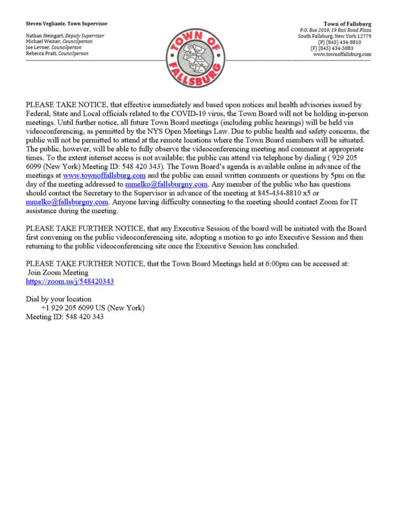#### Steven Vegliante, Town Supervisor

Nathan Steingart, Deputy Supervisor Michael Weiner, Councilperson Joe Levner, Councilperson Rebecca Pratt, Councilperson



**Town of Fallsburg** P.O. Box 2019, 19 Rail Road Plaza South Fallsburg, New York 12779 (P) (845) 434-8810 (F) (845) 434-5883 www.townoffallsburg.com

PLEASE TAKE NOTICE, that effective immediately and based upon notices and health advisories issued by Federal, State and Local officials related to the COVID-19 virus, the Town Board will not be holding in-person meetings. Until further notice, all future Town Board meetings (including public hearings) will be held via videoconferencing, as permitted by the NYS Open Meetings Law. Due to public health and safety concerns, the public will not be permitted to attend at the remote locations where the Town Board members will be situated. The public, however, will be able to fully observe the videoconferencing meeting and comment at appropriate times. To the extent internet access is not available; the public can attend via telephone by dialing (929 205 6099 (New York) Meeting ID: 548 420 343). The Town Board's agenda is available online in advance of the meetings at www.townoffallsburg.com and the public can email written comments or questions by 5pm on the day of the meeting addressed to mmelko@fallsburgny.com. Any member of the public who has questions should contact the Secretary to the Supervisor in advance of the meeting at 845-434-8810 x5 or  $mmelko@fallsburgny.com$ . Anyone having difficulty connecting to the meeting should contact Zoom for IT assistance during the meeting.

PLEASE TAKE FURTHER NOTICE, that any Executive Session of the board will be initiated with the Board first convening on the public videoconferencing site, adopting a motion to go into Executive Session and then returning to the public videoconferencing site once the Executive Session has concluded.

PLEASE TAKE FURTHER NOTICE, that the Town Board Meetings held at 6:00pm can be accessed at: Join Zoom Meeting https://zoom.us/ $j/548420343$ 

Dial by your location +1 929 205 6099 US (New York) Meeting ID: 548 420 343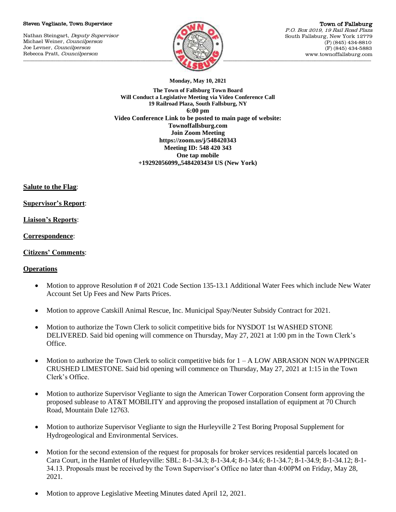#### Steven Vegliante, Town Supervisor

Nathan Steingart, Deputy Supervisor Michael Weiner, Councilperson Joe Levner, Councilperson Rebecca Pratt, Councilperson



Town of Fallsburg P.O. Box 2019, 19 Rail Road Plaza South Fallsburg, New York 12779 (P) (845) 434-8810 (F) (845) 434-5883 www.townoffallsburg.com

**Monday, May 10, 2021**

**The Town of Fallsburg Town Board Will Conduct a Legislative Meeting via Video Conference Call 19 Railroad Plaza, South Fallsburg, NY 6:00 pm Video Conference Link to be posted to main page of website: Townoffallsburg.com Join Zoom Meeting https://zoom.us/j/548420343 Meeting ID: 548 420 343 One tap mobile +19292056099,,548420343# US (New York)**

**Salute to the Flag**:

**Supervisor's Report**:

**Liaison's Reports**:

**Correspondence**:

## **Citizens' Comments**:

### **Operations**

- Motion to approve Resolution # of 2021 Code Section 135-13.1 Additional Water Fees which include New Water Account Set Up Fees and New Parts Prices.
- Motion to approve Catskill Animal Rescue, Inc. Municipal Spay/Neuter Subsidy Contract for 2021.
- Motion to authorize the Town Clerk to solicit competitive bids for NYSDOT 1st WASHED STONE DELIVERED. Said bid opening will commence on Thursday, May 27, 2021 at 1:00 pm in the Town Clerk's Office.
- $\bullet$  Motion to authorize the Town Clerk to solicit competitive bids for  $1 A$  LOW ABRASION NON WAPPINGER CRUSHED LIMESTONE. Said bid opening will commence on Thursday, May 27, 2021 at 1:15 in the Town Clerk's Office.
- Motion to authorize Supervisor Vegliante to sign the American Tower Corporation Consent form approving the proposed sublease to AT&T MOBILITY and approving the proposed installation of equipment at 70 Church Road, Mountain Dale 12763.
- Motion to authorize Supervisor Vegliante to sign the Hurleyville 2 Test Boring Proposal Supplement for Hydrogeological and Environmental Services.
- Motion for the second extension of the request for proposals for broker services residential parcels located on Cara Court, in the Hamlet of Hurleyville: SBL: 8-1-34.3; 8-1-34.4; 8-1-34.6; 8-1-34.7; 8-1-34.9; 8-1-34.12; 8-1- 34.13. Proposals must be received by the Town Supervisor's Office no later than 4:00PM on Friday, May 28, 2021.
- Motion to approve Legislative Meeting Minutes dated April 12, 2021.